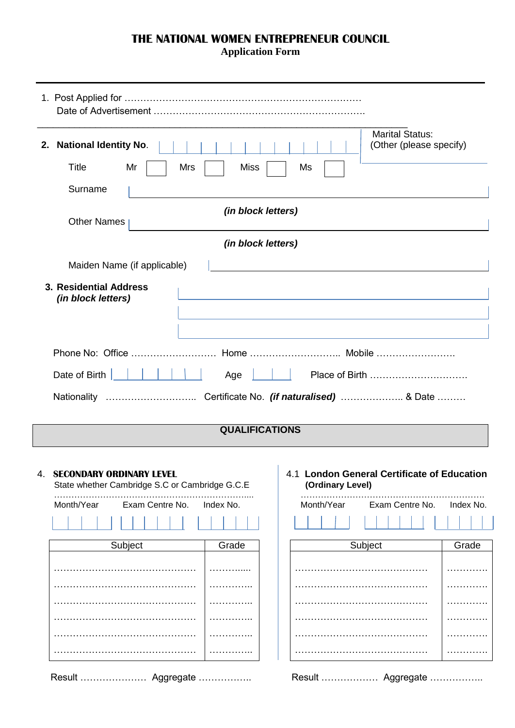## **THE NATIONAL WOMEN ENTREPRENEUR COUNCIL**

**Application Form**

| 2.                                                                                                                                    | <b>National Identity No.</b>                 | <b>Marital Status:</b><br>(Other (please specify)                                                                |           |
|---------------------------------------------------------------------------------------------------------------------------------------|----------------------------------------------|------------------------------------------------------------------------------------------------------------------|-----------|
|                                                                                                                                       | Title<br>Mr<br><b>Miss</b><br>Mrs            | Ms                                                                                                               |           |
|                                                                                                                                       | Surname                                      |                                                                                                                  |           |
|                                                                                                                                       | (in block letters)<br><b>Other Names</b>     |                                                                                                                  |           |
|                                                                                                                                       | (in block letters)                           |                                                                                                                  |           |
|                                                                                                                                       | Maiden Name (if applicable)                  |                                                                                                                  |           |
|                                                                                                                                       | 3. Residential Address<br>(in block letters) | and the control of the control of the control of the control of the control of the control of the control of the |           |
|                                                                                                                                       |                                              |                                                                                                                  |           |
|                                                                                                                                       | Date of Birth<br>Age                         |                                                                                                                  |           |
|                                                                                                                                       |                                              |                                                                                                                  |           |
|                                                                                                                                       | <b>QUALIFICATIONS</b>                        |                                                                                                                  |           |
| <b>SECONDARY ORDINARY LEVEL</b><br>4.<br>State whether Cambridge S.C or Cambridge G.C.E<br>Month/Year<br>Exam Centre No.<br>Index No. |                                              | 4.1 London General Certificate of Education<br>(Ordinary Level)<br>Month/Year<br>Exam Centre No.                 | Index No. |
|                                                                                                                                       |                                              |                                                                                                                  |           |
|                                                                                                                                       | Subject<br>Grade                             | Subject                                                                                                          | Grade     |
|                                                                                                                                       |                                              |                                                                                                                  | .         |

…………… …………. …………. …………. ………….

| . |  |
|---|--|
| . |  |
| . |  |
| . |  |
| . |  |
| . |  |
|   |  |

Result ………………… Aggregate …………….. Result ……………… Aggregate ……………..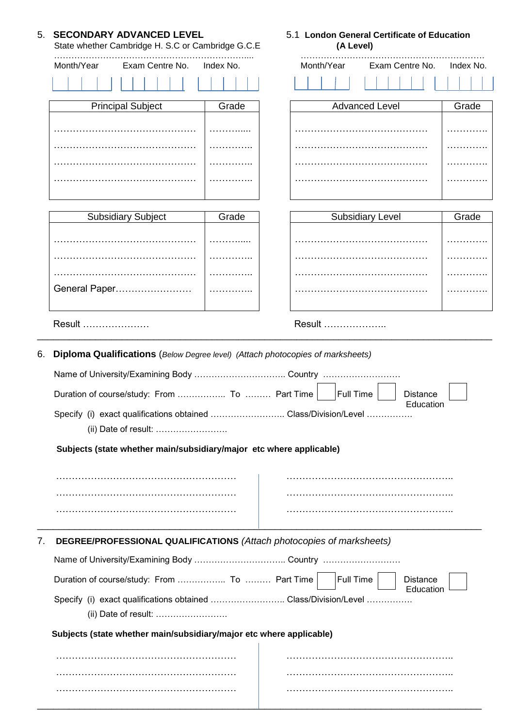|    | 5. SECONDARY ADVANCED LEVEL<br>State whether Cambridge H. S.C or Cambridge G.C.E                     |           | 5.1 London General Certificate of Education<br>(A Level) |  |  |  |  |  |
|----|------------------------------------------------------------------------------------------------------|-----------|----------------------------------------------------------|--|--|--|--|--|
|    | Month/Year<br>Exam Centre No.                                                                        | Index No. | Month/Year<br>Exam Centre No.<br>Index No.               |  |  |  |  |  |
|    |                                                                                                      |           |                                                          |  |  |  |  |  |
|    | <b>Principal Subject</b>                                                                             | Grade     | <b>Advanced Level</b><br>Grade                           |  |  |  |  |  |
|    |                                                                                                      |           |                                                          |  |  |  |  |  |
|    |                                                                                                      |           | .                                                        |  |  |  |  |  |
|    |                                                                                                      |           |                                                          |  |  |  |  |  |
|    |                                                                                                      |           |                                                          |  |  |  |  |  |
|    | <b>Subsidiary Subject</b>                                                                            | Grade     | <b>Subsidiary Level</b><br>Grade                         |  |  |  |  |  |
|    |                                                                                                      |           | .                                                        |  |  |  |  |  |
|    |                                                                                                      |           | .                                                        |  |  |  |  |  |
|    |                                                                                                      |           |                                                          |  |  |  |  |  |
|    | General Paper                                                                                        | .         | .                                                        |  |  |  |  |  |
|    | Result                                                                                               |           | Result                                                   |  |  |  |  |  |
| 6. | Diploma Qualifications (Below Degree level) (Attach photocopies of marksheets)                       |           | <b>Full Time</b><br><b>Distance</b>                      |  |  |  |  |  |
|    | Education<br>Specify (i) exact qualifications obtained  Class/Division/Level<br>(ii) Date of result: |           |                                                          |  |  |  |  |  |
|    | Subjects (state whether main/subsidiary/major etc where applicable)                                  |           |                                                          |  |  |  |  |  |
|    |                                                                                                      |           |                                                          |  |  |  |  |  |
|    |                                                                                                      |           |                                                          |  |  |  |  |  |
|    |                                                                                                      |           |                                                          |  |  |  |  |  |
| 7. | DEGREE/PROFESSIONAL QUALIFICATIONS (Attach photocopies of marksheets)                                |           |                                                          |  |  |  |  |  |
|    |                                                                                                      |           |                                                          |  |  |  |  |  |
|    | Duration of course/study: From  To  Part Time                                                        |           | <b>Full Time</b><br><b>Distance</b>                      |  |  |  |  |  |
|    | Education<br>Specify (i) exact qualifications obtained Class/Division/Level                          |           |                                                          |  |  |  |  |  |
|    | Subjects (state whether main/subsidiary/major etc where applicable)                                  |           |                                                          |  |  |  |  |  |
|    |                                                                                                      |           |                                                          |  |  |  |  |  |
|    |                                                                                                      |           |                                                          |  |  |  |  |  |
|    |                                                                                                      |           |                                                          |  |  |  |  |  |
|    |                                                                                                      |           |                                                          |  |  |  |  |  |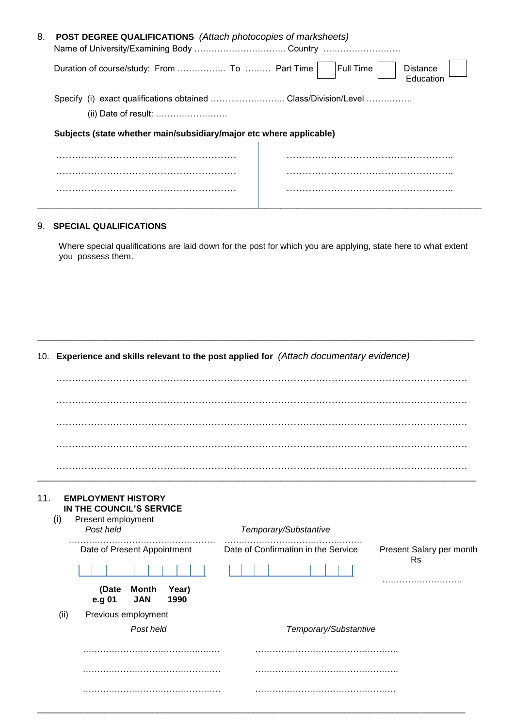| 8. | <b>POST DEGREE QUALIFICATIONS</b> (Attach photocopies of marksheets) |                                                  |  |
|----|----------------------------------------------------------------------|--------------------------------------------------|--|
|    |                                                                      | Full Time<br><b>Distance</b><br><b>Education</b> |  |
|    | Specify (i) exact qualifications obtained Class/Division/Level       |                                                  |  |
|    | (ii) Date of result:                                                 |                                                  |  |
|    | Subjects (state whether main/subsidiary/major etc where applicable)  |                                                  |  |
|    |                                                                      |                                                  |  |
|    |                                                                      |                                                  |  |
|    |                                                                      |                                                  |  |
|    |                                                                      |                                                  |  |

## 9. **SPECIAL QUALIFICATIONS**

Where special qualifications are laid down for the post for which you are applying, state here to what extent you possess them.

\_\_\_\_\_\_\_\_\_\_\_\_\_\_\_\_\_\_\_\_\_\_\_\_\_\_\_\_\_\_\_\_\_\_\_\_\_\_\_\_\_\_\_\_\_\_\_\_\_\_\_\_\_\_\_\_\_\_\_\_\_\_\_\_\_\_\_\_\_\_\_\_\_\_\_\_\_\_\_\_\_\_\_\_\_\_\_\_\_\_\_

## 10. **Experience and skills relevant to the post applied for** *(Attach documentary evidence)*

| 11.<br>(i) | <b>EMPLOYMENT HISTORY</b><br>IN THE COUNCIL'S SERVICE<br>Present employment<br>Post held | Temporary/Substantive                                                        |
|------------|------------------------------------------------------------------------------------------|------------------------------------------------------------------------------|
|            |                                                                                          |                                                                              |
|            | Date of Present Appointment                                                              | Date of Confirmation in the Service<br>Present Salary per month<br><b>Rs</b> |
|            | (Date Month<br>Year)<br>e.g 01<br><b>JAN</b><br>1990                                     |                                                                              |
| (ii)       | Previous employment                                                                      |                                                                              |
|            | Post held                                                                                | Temporary/Substantive                                                        |
|            |                                                                                          |                                                                              |
|            |                                                                                          |                                                                              |

\_\_\_\_\_\_\_\_\_\_\_\_\_\_\_\_\_\_\_\_\_\_\_\_\_\_\_\_\_\_\_\_\_\_\_\_\_\_\_\_\_\_\_\_\_\_\_\_\_\_\_\_\_\_\_\_\_\_\_\_\_\_\_\_\_\_\_\_\_\_\_\_\_\_\_\_\_\_\_\_\_\_\_\_\_\_\_\_\_